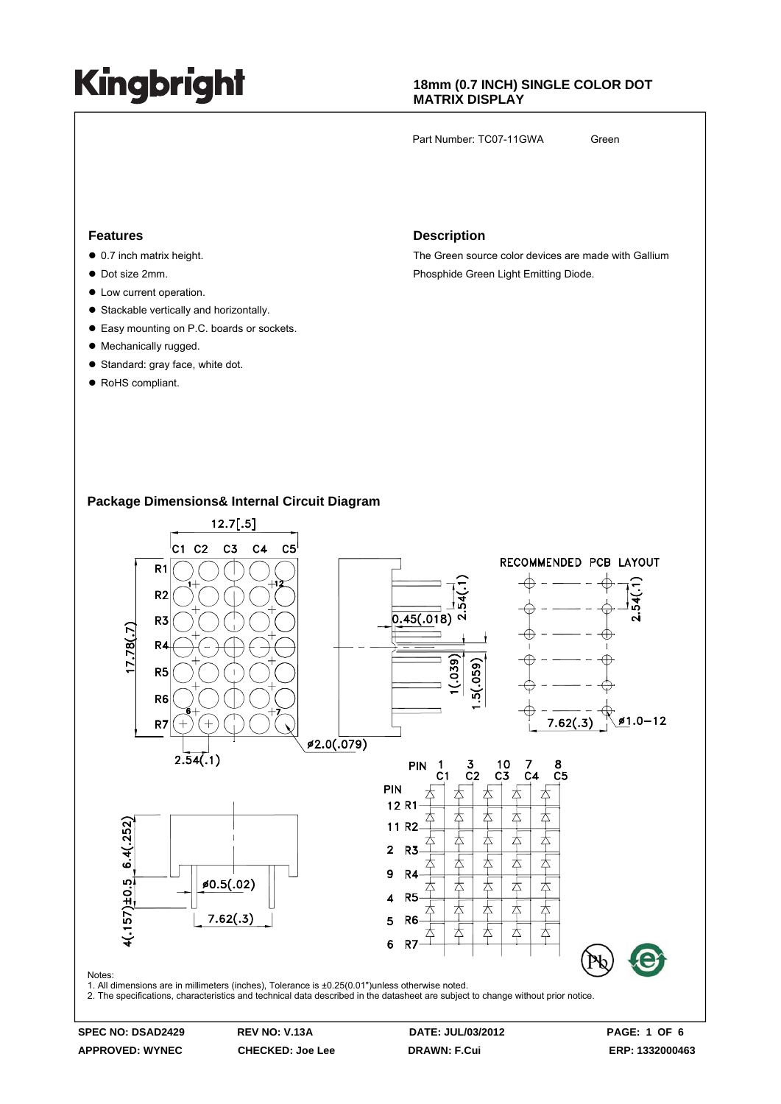### **18mm (0.7 INCH) SINGLE COLOR DOT MATRIX DISPLAY**

Part Number: TC07-11GWA Green

#### **Features**

- $\bullet$  0.7 inch matrix height.
- $\bullet$  Dot size 2mm.
- $\bullet$  Low current operation.
- Stackable vertically and horizontally.
- Easy mounting on P.C. boards or sockets.
- Mechanically rugged.
- Standard: gray face, white dot.
- RoHS compliant.

#### **Description**

The Green source color devices are made with Gallium Phosphide Green Light Emitting Diode.

### **Package Dimensions& Internal Circuit Diagram**



**APPROVED: WYNEC CHECKED: Joe Lee DRAWN: F.Cui ERP: 1332000463**

**SPEC NO: DSAD2429 REV NO: V.13A DATE: JUL/03/2012 PAGE: 1 OF 6**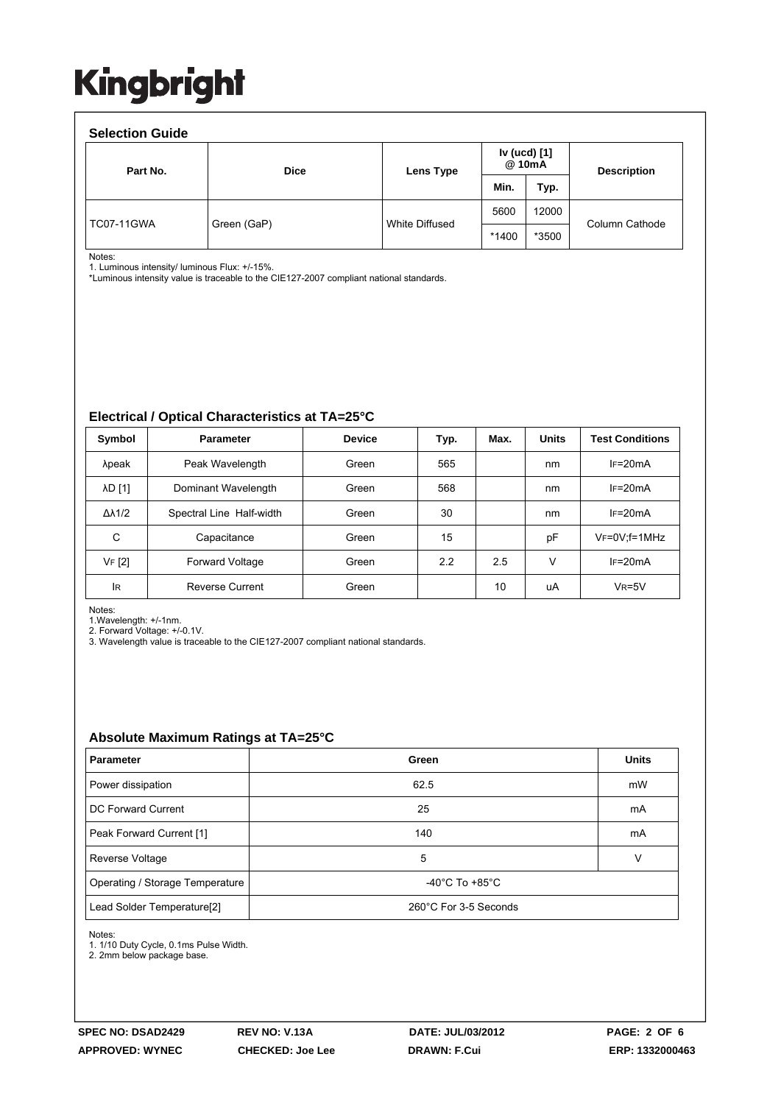| <b>Selection Guide</b> |             |                       |                        |       |                    |  |  |  |  |
|------------------------|-------------|-----------------------|------------------------|-------|--------------------|--|--|--|--|
| Part No.               | <b>Dice</b> | Lens Type             | Iv (ucd) [1]<br>@ 10mA |       | <b>Description</b> |  |  |  |  |
|                        |             |                       | Min.                   | Typ.  |                    |  |  |  |  |
| <b>TC07-11GWA</b>      | Green (GaP) | <b>White Diffused</b> | 5600                   | 12000 | Column Cathode     |  |  |  |  |
|                        |             |                       | $*1400$                | *3500 |                    |  |  |  |  |

Notes:

1. Luminous intensity/ luminous Flux: +/-15%.

\*Luminous intensity value is traceable to the CIE127-2007 compliant national standards.

#### **Electrical / Optical Characteristics at TA=25°C**

| Symbol              | <b>Parameter</b>         | <b>Device</b> | Typ. | Max. | <b>Units</b> | <b>Test Conditions</b> |
|---------------------|--------------------------|---------------|------|------|--------------|------------------------|
| λpeak               | Peak Wavelength          | Green         | 565  |      | nm           | $IF=20mA$              |
| <b>AD [1]</b>       | Dominant Wavelength      | Green         | 568  |      | nm           | $IF=20mA$              |
| $\Delta\lambda$ 1/2 | Spectral Line Half-width | Green         | 30   |      | nm           | $IF=20mA$              |
| C                   | Capacitance              | Green         | 15   |      | pF           | $V_F = 0V$ ; f = 1MHz  |
| VF [2]              | Forward Voltage          | Green         | 2.2  | 2.5  | V            | $IF=20mA$              |
| lR.                 | <b>Reverse Current</b>   | Green         |      | 10   | uA           | $VR=5V$                |

Notes:

1.Wavelength: +/-1nm.

2. Forward Voltage: +/-0.1V.

3. Wavelength value is traceable to the CIE127-2007 compliant national standards.

### **Absolute Maximum Ratings at TA=25°C**

| <b>Parameter</b>                                                        | Green | <b>Units</b> |
|-------------------------------------------------------------------------|-------|--------------|
| Power dissipation                                                       | 62.5  | mW           |
| DC Forward Current                                                      | 25    | mA           |
| Peak Forward Current [1]                                                | 140   | mA           |
| Reverse Voltage                                                         | 5     | v            |
| -40 $^{\circ}$ C To +85 $^{\circ}$ C<br>Operating / Storage Temperature |       |              |
| 260°C For 3-5 Seconds<br>Lead Solder Temperature <sup>[2]</sup>         |       |              |

Notes:

1. 1/10 Duty Cycle, 0.1ms Pulse Width.

2. 2mm below package base.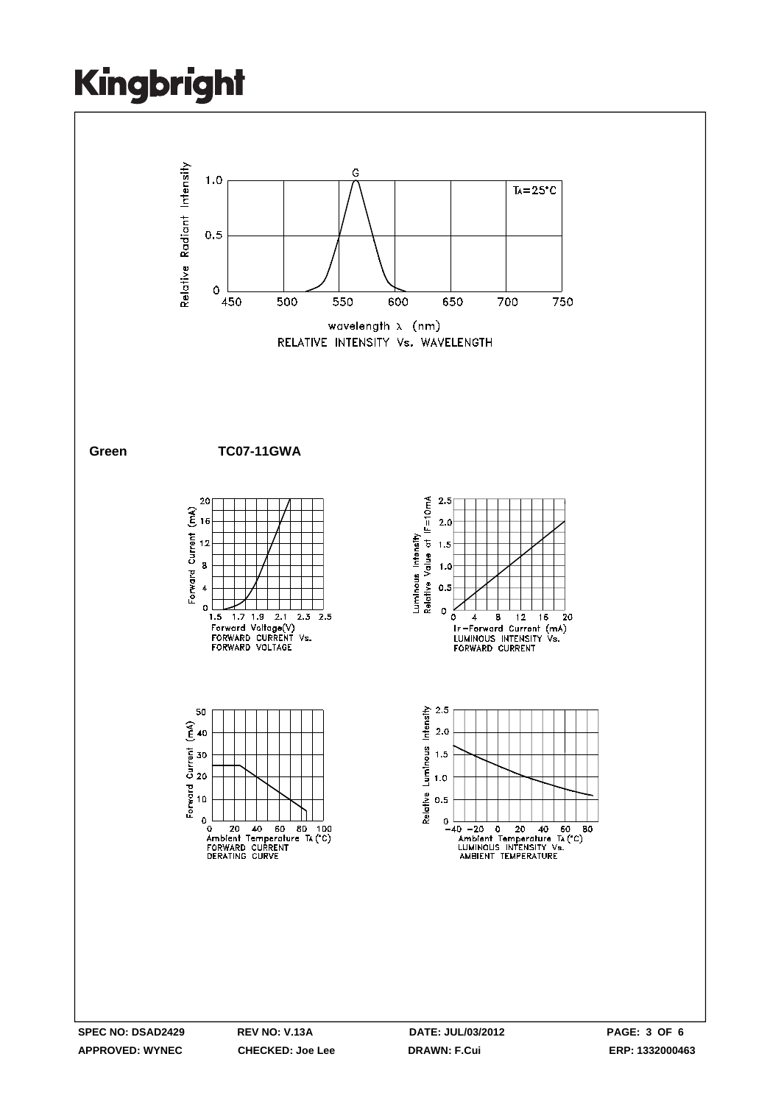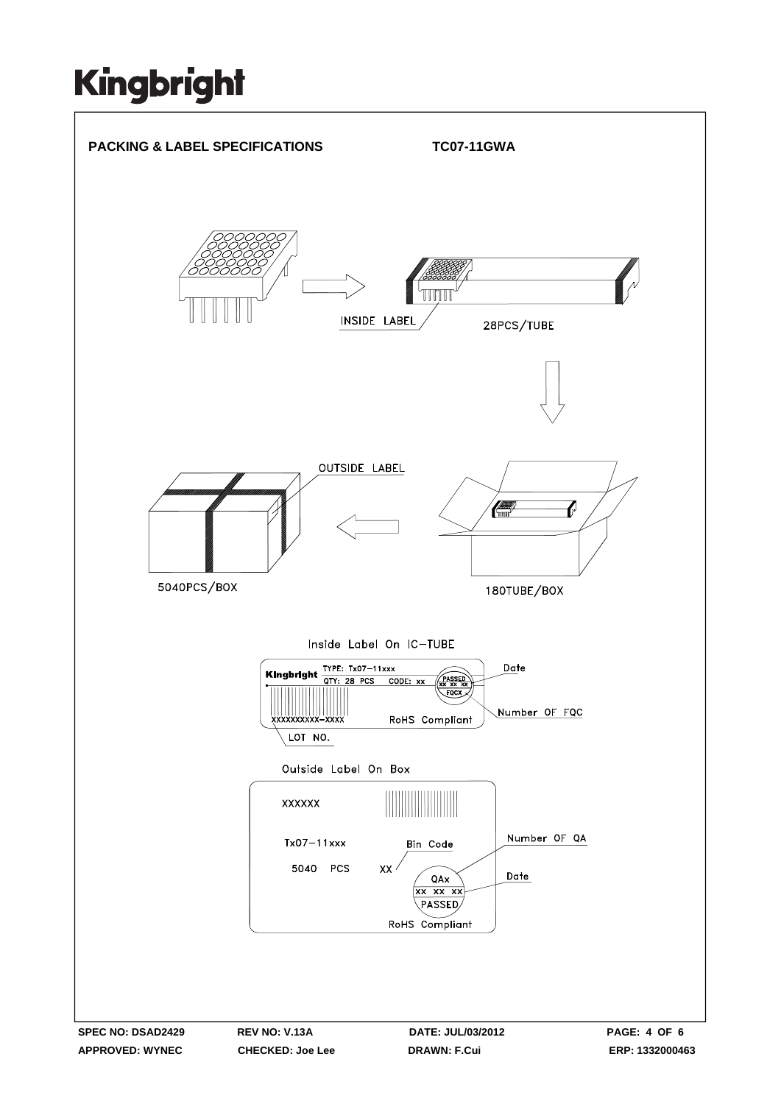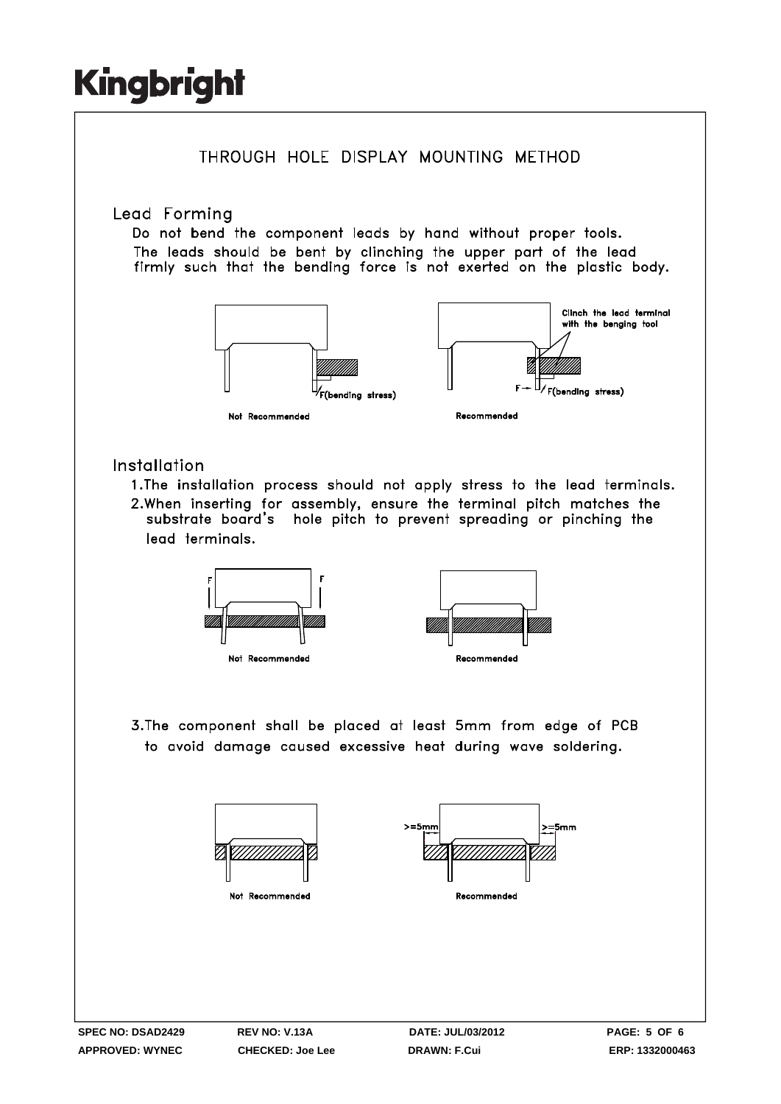